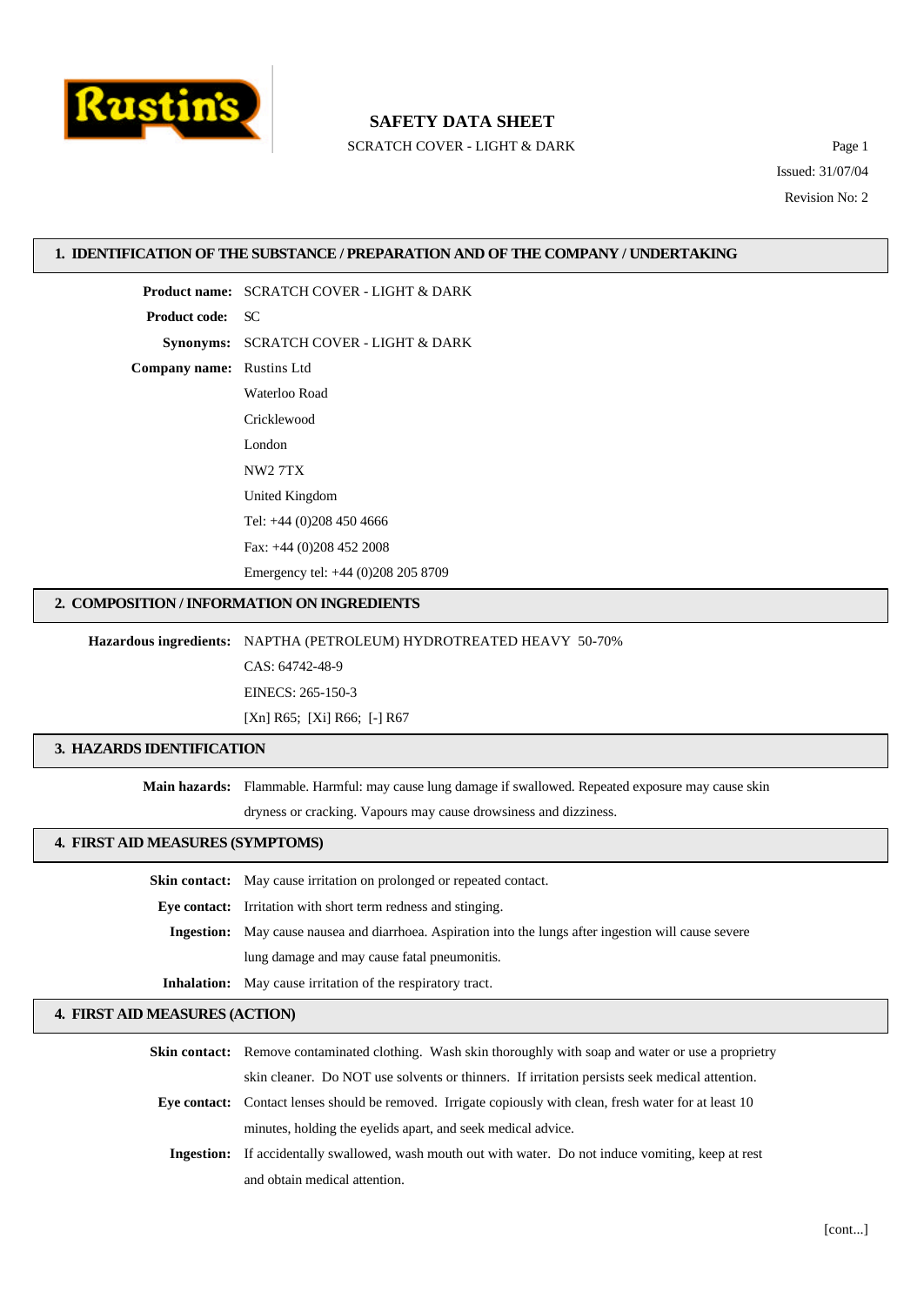

SCRATCH COVER - LIGHT & DARK Page 1

Issued: 31/07/04 Revision No: 2

#### **1. IDENTIFICATION OF THE SUBSTANCE / PREPARATION AND OF THE COMPANY / UNDERTAKING**

**Product name:** SCRATCH COVER - LIGHT & DARK **Product code:** SC **Synonyms:** SCRATCH COVER - LIGHT & DARK **Company name:** Rustins Ltd Waterloo Road Cricklewood London NW2 7TX United Kingdom Tel: +44 (0)208 450 4666 Fax: +44 (0)208 452 2008 Emergency tel: +44 (0)208 205 8709

#### **2. COMPOSITION / INFORMATION ON INGREDIENTS**

**Hazardous ingredients:** NAPTHA (PETROLEUM) HYDROTREATED HEAVY 50-70%

CAS: 64742-48-9

EINECS: 265-150-3

[Xn] R65; [Xi] R66; [-] R67

## **3. HAZARDS IDENTIFICATION**

**Main hazards:** Flammable. Harmful: may cause lung damage if swallowed. Repeated exposure may cause skin

dryness or cracking. Vapours may cause drowsiness and dizziness.

#### **4. FIRST AID MEASURES (SYMPTOMS)**

**Skin contact:** May cause irritation on prolonged or repeated contact.

**Eye contact:** Irritation with short term redness and stinging.

**Ingestion:** May cause nausea and diarrhoea. Aspiration into the lungs after ingestion will cause severe lung damage and may cause fatal pneumonitis.

**Inhalation:** May cause irritation of the respiratory tract.

## **4. FIRST AID MEASURES (ACTION)**

**Skin contact:** Remove contaminated clothing. Wash skin thoroughly with soap and water or use a proprietry

skin cleaner. Do NOT use solvents or thinners. If irritation persists seek medical attention.

- **Eye contact:** Contact lenses should be removed. Irrigate copiously with clean, fresh water for at least 10 minutes, holding the eyelids apart, and seek medical advice.
	- **Ingestion:** If accidentally swallowed, wash mouth out with water. Do not induce vomiting, keep at rest and obtain medical attention.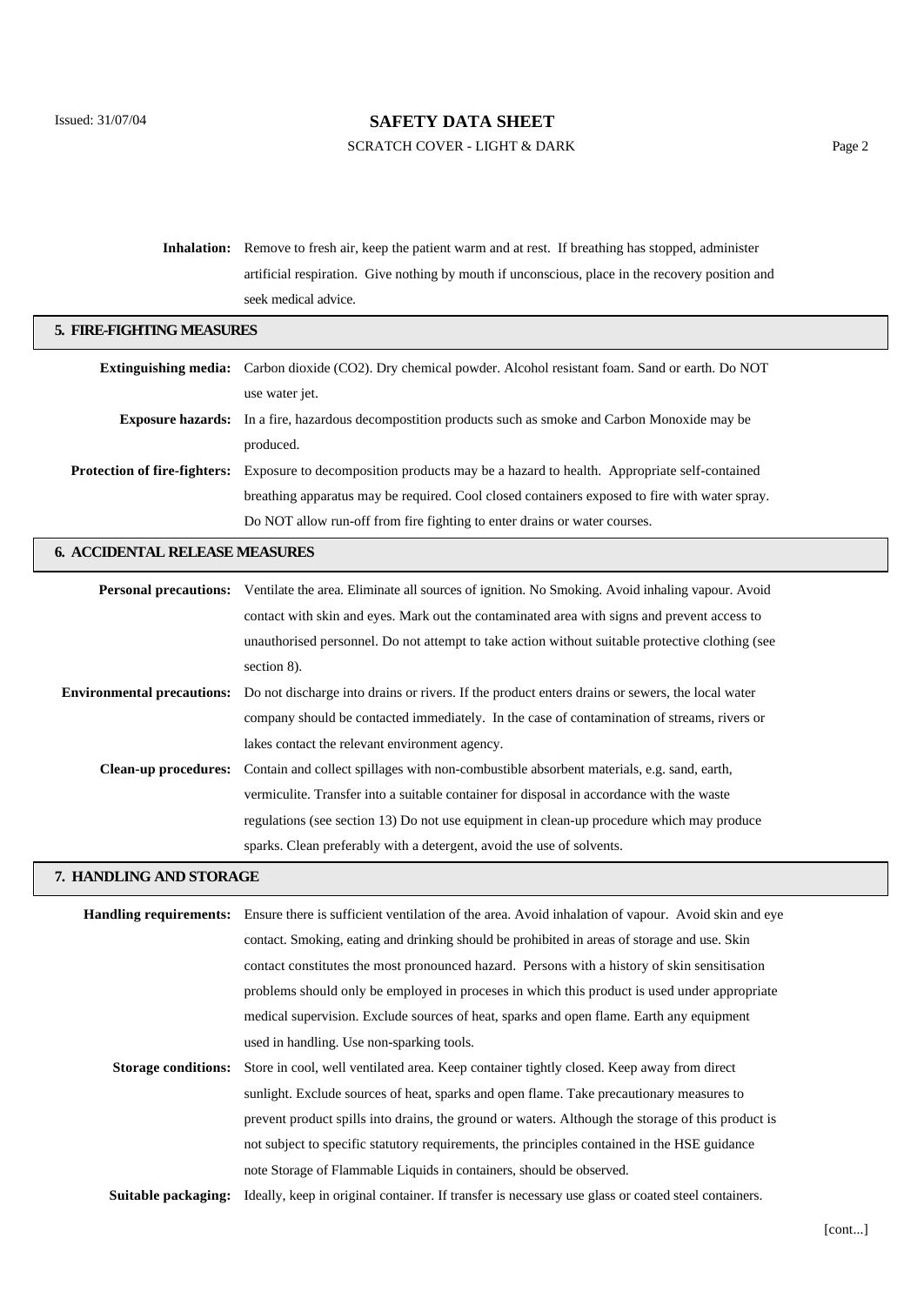## SCRATCH COVER - LIGHT & DARK Page 2

| <b>Inhalation:</b> Remove to fresh air, keep the patient warm and at rest. If breathing has stopped, administer |  |
|-----------------------------------------------------------------------------------------------------------------|--|
| artificial respiration. Give nothing by mouth if unconscious, place in the recovery position and                |  |
| seek medical advice.                                                                                            |  |

| 5. FIRE-FIGHTING MEASURES             |                                                                                                                       |  |
|---------------------------------------|-----------------------------------------------------------------------------------------------------------------------|--|
|                                       | Extinguishing media: Carbon dioxide (CO2). Dry chemical powder. Alcohol resistant foam. Sand or earth. Do NOT         |  |
|                                       | use water jet.                                                                                                        |  |
| <b>Exposure hazards:</b>              | In a fire, hazardous decomposition products such as smoke and Carbon Monoxide may be                                  |  |
|                                       | produced.                                                                                                             |  |
| <b>Protection of fire-fighters:</b>   | Exposure to decomposition products may be a hazard to health. Appropriate self-contained                              |  |
|                                       | breathing apparatus may be required. Cool closed containers exposed to fire with water spray.                         |  |
|                                       | Do NOT allow run-off from fire fighting to enter drains or water courses.                                             |  |
| <b>6. ACCIDENTAL RELEASE MEASURES</b> |                                                                                                                       |  |
|                                       | Personal precautions: Ventilate the area. Eliminate all sources of ignition. No Smoking. Avoid inhaling vapour. Avoid |  |
|                                       | contact with skin and eyes. Mark out the contaminated area with signs and prevent access to                           |  |
|                                       | unauthorised personnel. Do not attempt to take action without suitable protective clothing (see                       |  |
|                                       | section 8).                                                                                                           |  |
| <b>Environmental precautions:</b>     | Do not discharge into drains or rivers. If the product enters drains or sewers, the local water                       |  |
|                                       | company should be contacted immediately. In the case of contamination of streams, rivers or                           |  |
|                                       | lakes contact the relevant environment agency.                                                                        |  |
| <b>Clean-up procedures:</b>           | Contain and collect spillages with non-combustible absorbent materials, e.g. sand, earth,                             |  |
|                                       | vermiculite. Transfer into a suitable container for disposal in accordance with the waste                             |  |

regulations (see section 13) Do not use equipment in clean-up procedure which may produce

## **7. HANDLING AND STORAGE**

|                            | <b>Handling requirements:</b> Ensure there is sufficient ventilation of the area. Avoid inhalation of vapour. Avoid skin and eye |  |
|----------------------------|----------------------------------------------------------------------------------------------------------------------------------|--|
|                            | contact. Smoking, eating and drinking should be prohibited in areas of storage and use. Skin                                     |  |
|                            | contact constitutes the most pronounced hazard. Persons with a history of skin sensitisation                                     |  |
|                            | problems should only be employed in process in which this product is used under appropriate                                      |  |
|                            | medical supervision. Exclude sources of heat, sparks and open flame. Earth any equipment                                         |  |
|                            | used in handling. Use non-sparking tools.                                                                                        |  |
| <b>Storage conditions:</b> | Store in cool, well ventilated area. Keep container tightly closed. Keep away from direct                                        |  |
|                            | sunlight. Exclude sources of heat, sparks and open flame. Take precautionary measures to                                         |  |
|                            | prevent product spills into drains, the ground or waters. Although the storage of this product is                                |  |
|                            | not subject to specific statutory requirements, the principles contained in the HSE guidance                                     |  |
|                            | note Storage of Flammable Liquids in containers, should be observed.                                                             |  |
| Suitable packaging:        | Ideally, keep in original container. If transfer is necessary use glass or coated steel containers.                              |  |

sparks. Clean preferably with a detergent, avoid the use of solvents.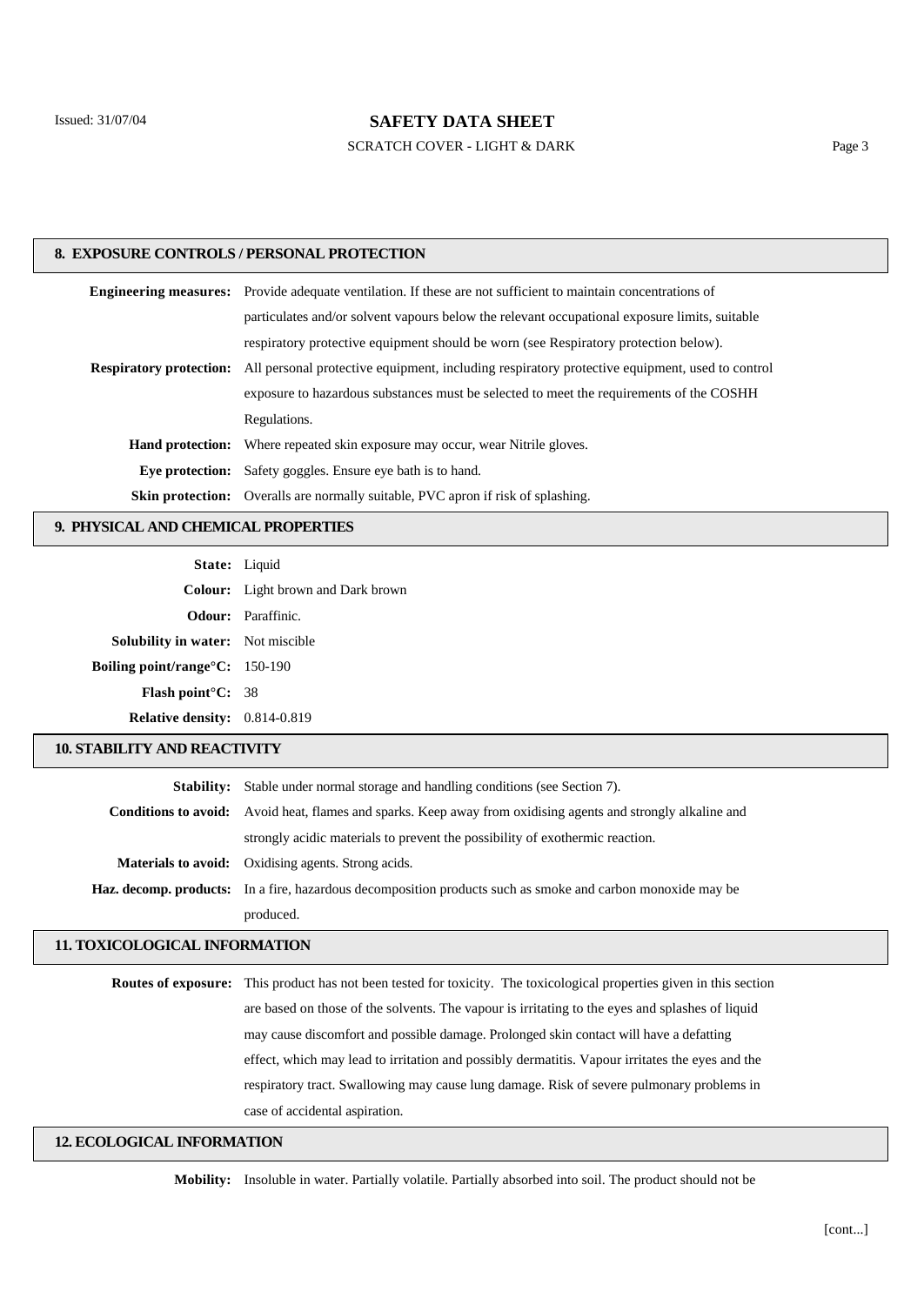SCRATCH COVER - LIGHT & DARK Page 3

#### **8. EXPOSURE CONTROLS / PERSONAL PROTECTION**

| <b>Engineering measures:</b> Provide adequate ventilation. If these are not sufficient to maintain concentrations of          |  |
|-------------------------------------------------------------------------------------------------------------------------------|--|
| particulates and/or solvent vapours below the relevant occupational exposure limits, suitable                                 |  |
| respiratory protective equipment should be worn (see Respiratory protection below).                                           |  |
| <b>Respiratory protection:</b> All personal protective equipment, including respiratory protective equipment, used to control |  |
| exposure to hazardous substances must be selected to meet the requirements of the COSHH                                       |  |
| Regulations.                                                                                                                  |  |
| <b>Hand protection:</b> Where repeated skin exposure may occur, wear Nitrile gloves.                                          |  |
| <b>Eye protection:</b> Safety goggles. Ensure eye bath is to hand.                                                            |  |
| <b>Skin protection:</b> Overalls are normally suitable, PVC apron if risk of splashing.                                       |  |

## **9. PHYSICAL AND CHEMICAL PROPERTIES**

| State: Liquid                            |                                           |
|------------------------------------------|-------------------------------------------|
|                                          | <b>Colour:</b> Light brown and Dark brown |
|                                          | <b>Odour:</b> Paraffinic.                 |
| <b>Solubility in water:</b> Not miscible |                                           |
| Boiling point/range°C: 150-190           |                                           |
| <b>Flash point C:</b> 38                 |                                           |
| <b>Relative density:</b> 0.814-0.819     |                                           |

#### **10. STABILITY AND REACTIVITY**

| <b>Stability:</b> Stable under normal storage and handling conditions (see Section 7).                               |  |
|----------------------------------------------------------------------------------------------------------------------|--|
| <b>Conditions to avoid:</b> Avoid heat, flames and sparks. Keep away from oxidising agents and strongly alkaline and |  |
| strongly acidic materials to prevent the possibility of exothermic reaction.                                         |  |
| <b>Materials to avoid:</b> Oxidising agents. Strong acids.                                                           |  |
| <b>Haz. decomp. products:</b> In a fire, hazardous decomposition products such as smoke and carbon monoxide may be   |  |
| produced.                                                                                                            |  |

## **11. TOXICOLOGICAL INFORMATION**

| <b>Routes of exposure:</b> This product has not been tested for toxicity. The toxicological properties given in this section |
|------------------------------------------------------------------------------------------------------------------------------|
| are based on those of the solvents. The vapour is irritating to the eyes and splashes of liquid                              |
| may cause discomfort and possible damage. Prolonged skin contact will have a defatting                                       |
| effect, which may lead to irritation and possibly dermatitis. Vapour irritates the eyes and the                              |
| respiratory tract. Swallowing may cause lung damage. Risk of severe pulmonary problems in                                    |
| case of accidental aspiration.                                                                                               |
|                                                                                                                              |

## **12. ECOLOGICAL INFORMATION**

**Mobility:** Insoluble in water. Partially volatile. Partially absorbed into soil. The product should not be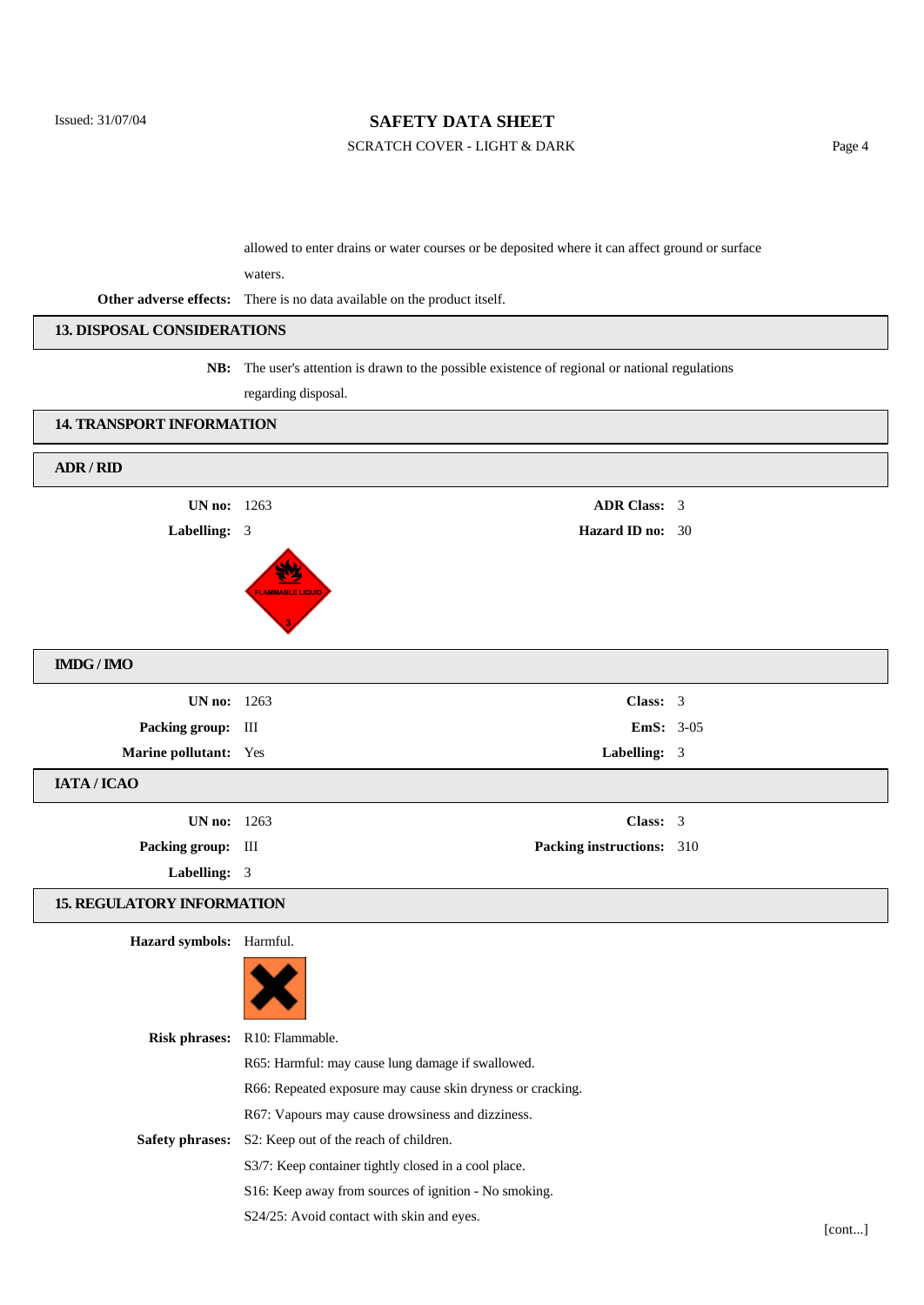## SCRATCH COVER - LIGHT & DARK Page 4

allowed to enter drains or water courses or be deposited where it can affect ground or surface

waters.

**Other adverse effects:** There is no data available on the product itself.

regarding disposal.

## **13. DISPOSAL CONSIDERATIONS**

# **NB:** The user's attention is drawn to the possible existence of regional or national regulations

| <b>14. TRANSPORT INFORMATION</b>     |                         |                           |  |
|--------------------------------------|-------------------------|---------------------------|--|
| ADR / RID                            |                         |                           |  |
| <b>UN no:</b> 1263                   |                         | <b>ADR Class: 3</b>       |  |
| Labelling: 3                         |                         | <b>Hazard ID no: 30</b>   |  |
|                                      | <b>FLAMMABLE LIQUID</b> |                           |  |
| $\mathbf{IMDG} \, / \, \mathbf{IMO}$ |                         |                           |  |
| <b>UN no:</b> 1263                   |                         | Class: 3                  |  |
| Packing group: III                   |                         | <b>EmS:</b> 3-05          |  |
| Marine pollutant: Yes                |                         | Labelling: 3              |  |
| IATA / ICAO                          |                         |                           |  |
| <b>UN no:</b> 1263                   |                         | Class: 3                  |  |
| Packing group: III                   |                         | Packing instructions: 310 |  |
| Labelling: 3                         |                         |                           |  |

## **15. REGULATORY INFORMATION**

**Hazard symbols:** Harmful.



|                 | <b>Risk phrases:</b> R10: Flammable.                       |
|-----------------|------------------------------------------------------------|
|                 | R65: Harmful: may cause lung damage if swallowed.          |
|                 | R66: Repeated exposure may cause skin dryness or cracking. |
| Safety phrases: | R67: Vapours may cause drowsiness and dizziness.           |
|                 | S2: Keep out of the reach of children.                     |
|                 | S3/7: Keep container tightly closed in a cool place.       |
|                 | S16: Keep away from sources of ignition - No smoking.      |
|                 | S24/25: Avoid contact with skin and eyes.                  |